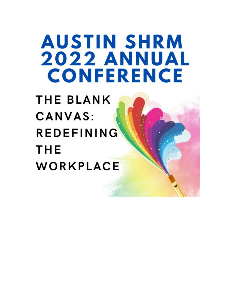# **AUSTIN SHRM 2022 ANNUAL CONFERENCE**

**THE BLANK CANVAS: REDEFINING THE** WORKPLACE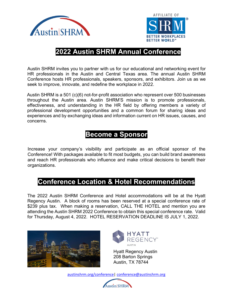



# **2022 Austin SHRM Annual Conference**

Austin SHRM invites you to partner with us for our educational and networking event for HR professionals in the Austin and Central Texas area. The annual Austin SHRM Conference hosts HR professionals, speakers, sponsors, and exhibitors. Join us as we seek to improve, innovate, and redefine the workplace in 2022.

Austin SHRM is a 501 (c)(6) not-for-profit association who represent over 500 businesses throughout the Austin area. Austin SHRM'S mission is to promote professionals, effectiveness, and understanding in the HR field by offering members a variety of professional development opportunities and a common forum for sharing ideas and experiences and by exchanging ideas and information current on HR issues, causes, and concerns.

# **Become a Sponsor**

Increase your company's visibility and participate as an official sponsor of the Conference! With packages available to fit most budgets, you can build brand awareness and reach HR professionals who influence and make critical decisions to benefit their organizations.

# **Conference Location & Hotel Recommendations**

The 2022 Austin SHRM Conference and Hotel accommodations will be at the Hyatt Regency Austin. A block of rooms has been reserved at a special conference rate of \$239 plus tax. When making a reservation, CALL THE HOTEL and mention you are attending the Austin SHRM 2022 Conference to obtain this special conference rate. Valid for Thursday, August 4, 2022. HOTEL RESERVATION DEADLINE IS JULY 1, 2022.





Hyatt Regency Austin 208 Barton Springs Austin, TX 78744

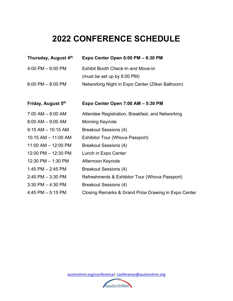# **2022 CONFERENCE SCHEDULE**

| Thursday, August 4 <sup>th</sup> | Expo Center Open 6:00 PM - 8:30 PM                   |
|----------------------------------|------------------------------------------------------|
| 4:00 PM - 6:00 PM                | Exhibit Booth Check-In and Move-In                   |
|                                  | (must be set up by 6:00 PM)                          |
| $6:00$ PM $-8:00$ PM             | Networking Night in Expo Center (Zilker Ballroom)    |
|                                  |                                                      |
| Friday, August 5th               | Expo Center Open 7:00 AM - 5:30 PM                   |
| 7:00 AM - 8:00 AM                | Attendee Registration, Breakfast, and Networking     |
| $8:00$ AM $-$ 9:00 AM            | <b>Morning Keynote</b>                               |
| $9:15$ AM $-$ 10:15 AM           | <b>Breakout Sessions (4)</b>                         |
| 10:15 AM - 11:00 AM              | <b>Exhibitor Tour (Whova Passport)</b>               |
| 11:00 AM - 12:00 PM              | <b>Breakout Sessions (4)</b>                         |
| 12:00 PM - 12:30 PM              | Lunch in Expo Center                                 |
| 12:30 PM - 1:30 PM               | Afternoon Keynote                                    |
| 1:45 PM $-$ 2:45 PM              | <b>Breakout Sessions (4)</b>                         |
| 2:45 PM - 3:30 PM                | Refreshments & Exhibitor Tour (Whova Passport)       |
| 3:30 PM - 4:30 PM                | <b>Breakout Sessions (4)</b>                         |
| 4:45 PM – 5:15 PM                | Closing Remarks & Grand Prize Drawing in Expo Center |

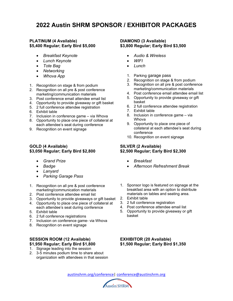## **2022 Austin SHRM SPONSOR / EXHIBITOR PACKAGES**

#### **PLATINUM (4 Available) \$5,400 Regular; Early Bird \$5,000**

- *Breakfast Keynote*
- *Lunch Keynote*
- *Tote Bag*
- *Networking*
- *Whova App*
- 1. Recognition on stage & from podium
- 2. Recognition on all pre & post conference marketing/communication materials
- 3. Post conference email attendee email list
- 4. Opportunity to provide giveaway or gift basket
- 5. 2 full conference attendee registration
- 6. Exhibit table
- 7. Inclusion in conference game via Whova
- 8. Opportunity to place one piece of collateral at each attendee's seat during conference
- 9. Recognition on event signage

#### **GOLD (4 Available) \$3,050 Regular; Early Bird \$2,800**

- *Grand Prize*
- *Badge*
- *Lanyard*
- *Parking Garage Pass*
- 1. Recognition on all pre & post conference marketing/communication materials
- 2. Post conference attendee email list
- 3. Opportunity to provide giveaways or gift basket
- 4. Opportunity to place one piece of collateral at each attendee's seat during conference
- 5. Exhibit table
- 6. 2 full conference registrations
- 7. Inclusion on conference game- via Whova
- 8. Recognition on event signage

#### **SESSION ROOM (12 Available) \$1,950 Regular; Early Bird \$1,800**

- 1. Signage leading into the session
- 2. 3-5 minutes podium time to share about organization with attendees in that session

#### **DIAMOND (3 Available) \$3,800 Regular; Early Bird \$3,500**

- *Audio & Wireless*
- *WIFI*
- *Lunch*
- 1. Parking garage pass
- 2. Recognition on stage & from podium
- 3. Recognition on all pre & post conference marketing/communication materials
- 4. Post conference email attendee email list
- 5. Opportunity to provide giveaway or gift basket
- 6. 2 full conference attendee registration
- 7. Exhibit table
- 8. Inclusion in conference game via Whova
- 9. Opportunity to place one piece of collateral at each attendee's seat during conference
- 10. Recognition on event signage

#### **SILVER (2 Available) \$2,500 Regular; Early Bird \$2,300**

- *Breakfast*
- *Afternoon Refreshment Break*
- 1. Sponsor logo is featured on signage at the breakfast area with an option to distribute materials on tables and seating area.
- 2. Exhibit table
- 3. 2 full conference registration
- 4. Post conference attendee email list
- 5. Opportunity to provide giveaway or gift basket

#### **EXHIBITOR (20 Available) \$1,500 Regular; Early Bird \$1,350**